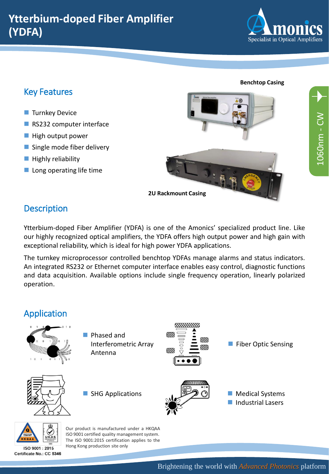

**Benchtop Casing**

## Key Features

- Turnkey Device
- RS232 computer interface
- High output power
- Single mode fiber delivery
- Highly reliability
- $\blacksquare$  Long operating life time



**2U Rackmount Casing**

# **Description**

Ytterbium-doped Fiber Amplifier (YDFA) is one of the Amonics' specialized product line. Like our highly recognized optical amplifiers, the YDFA offers high output power and high gain with exceptional reliability, which is ideal for high power YDFA applications.

The turnkey microprocessor controlled benchtop YDFAs manage alarms and status indicators. An integrated RS232 or Ethernet computer interface enables easy control, diagnostic functions and data acquisition. Available options include single frequency operation, linearly polarized operation.

#### Application *MIHIHIID* 97)) ■ Phased and VI)). Interferometric Array ■ Fiber Optic Sensing m VM. Antenna ■ SHG Applications ■ Medical Systems ■ Industrial Lasers



ISO 9001: 2015 Certificate No.: CC 5346

Our product is manufactured under a HKQAA ISO 9001 certified quality management system. The ISO 9001:2015 certification applies to the Hong Kong production site only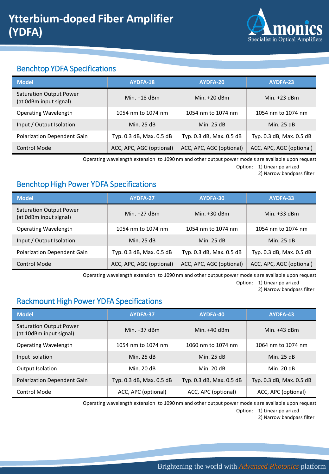

## Benchtop YDFA Specifications

| <b>Model</b>                                             | AYDFA-18                 | AYDFA-20                 | AYDFA-23                 |  |
|----------------------------------------------------------|--------------------------|--------------------------|--------------------------|--|
| <b>Saturation Output Power</b><br>(at 0dBm input signal) | Min. $+18$ dBm           | Min. $+20$ dBm           | Min. $+23$ dBm           |  |
| <b>Operating Wavelength</b>                              | 1054 nm to 1074 nm       | 1054 nm to 1074 nm       | 1054 nm to 1074 nm       |  |
| Input / Output Isolation                                 | Min. 25 dB               | Min. 25 dB               | Min. 25 dB               |  |
| <b>Polarization Dependent Gain</b>                       | Typ. 0.3 dB, Max. 0.5 dB | Typ. 0.3 dB, Max. 0.5 dB | Typ. 0.3 dB, Max. 0.5 dB |  |
| <b>Control Mode</b>                                      | ACC, APC, AGC (optional) | ACC, APC, AGC (optional) | ACC, APC, AGC (optional) |  |

Operating wavelength extension to 1090 nm and other output power models are available upon request

Option: 1) Linear polarized

2) Narrow bandpass filter

#### Benchtop High Power YDFA Specifications

| <b>Model</b>                                             | AYDFA-27                 | AYDFA-30                 | AYDFA-33                 |  |
|----------------------------------------------------------|--------------------------|--------------------------|--------------------------|--|
| <b>Saturation Output Power</b><br>(at 0dBm input signal) | Min. $+27$ dBm           | Min. $+30$ dBm           | Min. $+33$ dBm           |  |
| Operating Wavelength                                     | 1054 nm to 1074 nm       | 1054 nm to 1074 nm       | 1054 nm to 1074 nm       |  |
| Input / Output Isolation                                 | Min. 25 dB               | Min. 25 dB               | Min. 25 dB               |  |
| Polarization Dependent Gain                              | Typ. 0.3 dB, Max. 0.5 dB | Typ. 0.3 dB, Max. 0.5 dB | Typ. 0.3 dB, Max. 0.5 dB |  |
| <b>Control Mode</b>                                      | ACC, APC, AGC (optional) | ACC, APC, AGC (optional) | ACC, APC, AGC (optional) |  |

Operating wavelength extension to 1090 nm and other output power models are available upon request

Option: 1) Linear polarized

2) Narrow bandpass filter

## Rackmount High Power YDFA Specifications

| <b>Model</b>                                              | AYDFA-37                 | AYDFA-40                 | AYDFA-43                 |  |
|-----------------------------------------------------------|--------------------------|--------------------------|--------------------------|--|
| <b>Saturation Output Power</b><br>(at 10dBm input signal) | Min. $+37$ dBm           | Min. $+40$ dBm           | Min. $+43$ dBm           |  |
| <b>Operating Wavelength</b>                               | 1054 nm to 1074 nm       | 1060 nm to 1074 nm       | 1064 nm to 1074 nm       |  |
| Input Isolation                                           | Min. 25 dB               | Min. 25 dB               | Min. 25 dB               |  |
| Output Isolation                                          | Min. 20 dB               | Min. 20 dB               | Min. 20 dB               |  |
| <b>Polarization Dependent Gain</b>                        | Typ. 0.3 dB, Max. 0.5 dB | Typ. 0.3 dB, Max. 0.5 dB | Typ. 0.3 dB, Max. 0.5 dB |  |
| <b>Control Mode</b>                                       | ACC, APC (optional)      | ACC, APC (optional)      | ACC, APC (optional)      |  |

Operating wavelength extension to 1090 nm and other output power models are available upon request

Option: 1) Linear polarized

2) Narrow bandpass filter